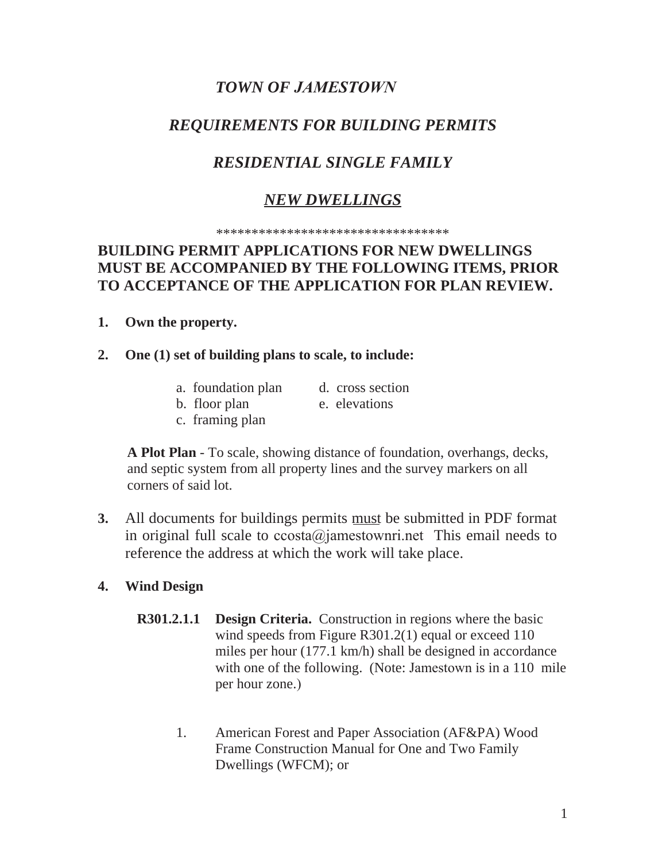# *TOWN OF JAMESTOWN*

# *REQUIREMENTS FOR BUILDING PERMITS*

# *RESIDENTIAL SINGLE FAMILY*

# *NEW DWELLINGS*

### \*\*\*\*\*\*\*\*\*\*\*\*\*\*\*\*\*\*\*\*\*\*\*\*\*\*\*\*\*\*\*\*\*

# **BUILDING PERMIT APPLICATIONS FOR NEW DWELLINGS MUST BE ACCOMPANIED BY THE FOLLOWING ITEMS, PRIOR TO ACCEPTANCE OF THE APPLICATION FOR PLAN REVIEW.**

### **1. Own the property.**

## **2. One (1) set of building plans to scale, to include:**

- a. foundation plan d. cross section
- b. floor plan e. elevations
- c. framing plan

**A Plot Plan** - To scale, showing distance of foundation, overhangs, decks, and septic system from all property lines and the survey markers on all corners of said lot.

**3.** All documents for buildings permits must be submitted in PDF format in original full scale to ccosta@jamestownri.net This email needs to reference the address at which the work will take place.

## **4. Wind Design**

- **R301.2.1.1 Design Criteria.** Construction in regions where the basic wind speeds from Figure R301.2(1) equal or exceed 110 miles per hour (177.1 km/h) shall be designed in accordance with one of the following. (Note: Jamestown is in a 110 mile per hour zone.)
	- 1. American Forest and Paper Association (AF&PA) Wood Frame Construction Manual for One and Two Family Dwellings (WFCM); or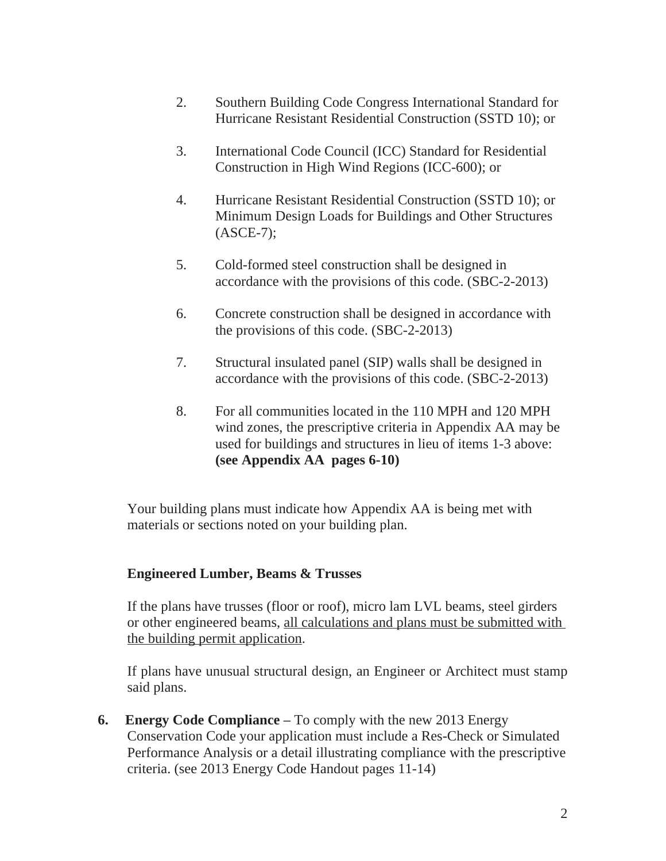- 2. Southern Building Code Congress International Standard for Hurricane Resistant Residential Construction (SSTD 10); or
- 3. International Code Council (ICC) Standard for Residential Construction in High Wind Regions (ICC-600); or
- 4. Hurricane Resistant Residential Construction (SSTD 10); or Minimum Design Loads for Buildings and Other Structures (ASCE-7);
- 5. Cold-formed steel construction shall be designed in accordance with the provisions of this code. (SBC-2-2013)
- 6. Concrete construction shall be designed in accordance with the provisions of this code. (SBC-2-2013)
- 7. Structural insulated panel (SIP) walls shall be designed in accordance with the provisions of this code. (SBC-2-2013)
- 8. For all communities located in the 110 MPH and 120 MPH wind zones, the prescriptive criteria in Appendix AA may be used for buildings and structures in lieu of items 1-3 above: **(see Appendix AA pages 6-10)**

Your building plans must indicate how Appendix AA is being met with materials or sections noted on your building plan.

## **Engineered Lumber, Beams & Trusses**

If the plans have trusses (floor or roof), micro lam LVL beams, steel girders or other engineered beams, all calculations and plans must be submitted with the building permit application.

If plans have unusual structural design, an Engineer or Architect must stamp said plans.

**6. Energy Code Compliance** – To comply with the new 2013 Energy Conservation Code your application must include a Res-Check or Simulated Performance Analysis or a detail illustrating compliance with the prescriptive criteria. (see 2013 Energy Code Handout pages 11-14)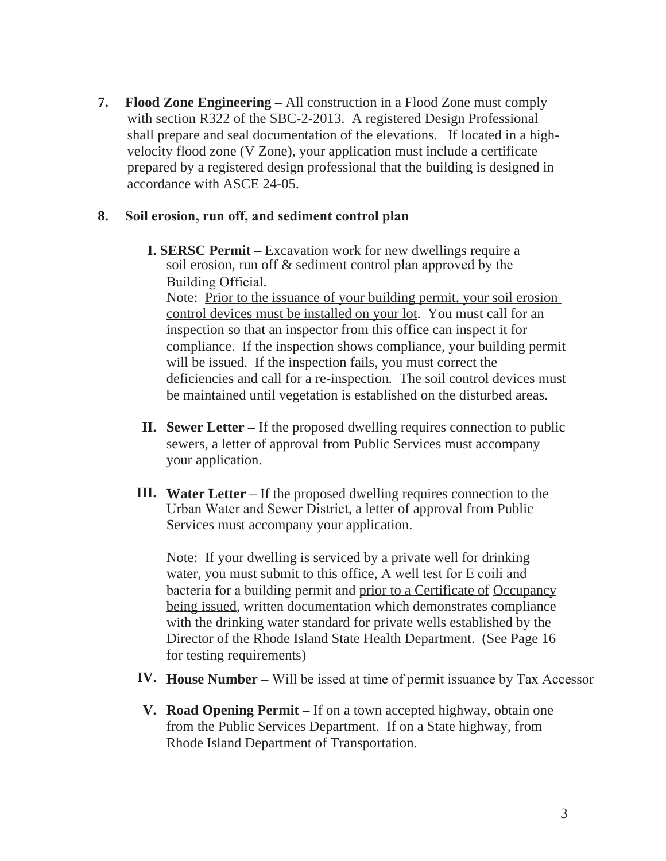**7. Flood Zone Engineering – All construction in a Flood Zone must comply** with section R322 of the SBC-2-2013. A registered Design Professional shall prepare and seal documentation of the elevations. If located in a highvelocity flood zone (V Zone), your application must include a certificate prepared by a registered design professional that the building is designed in accordance with ASCE 24-05.

### **8. Soil erosion, run off, and sediment control plan**

**I. SERSC Permit** – Excavation work for new dwellings require a soil erosion, run off & sediment control plan approved by the Building Official.

Note: Prior to the issuance of your building permit, your soil erosion control devices must be installed on your lot. You must call for an inspection so that an inspector from this office can inspect it for compliance. If the inspection shows compliance, your building permit will be issued. If the inspection fails, you must correct the deficiencies and call for a re-inspection*.* The soil control devices must be maintained until vegetation is established on the disturbed areas.

- **II.** Sewer Letter If the proposed dwelling requires connection to public sewers, a letter of approval from Public Services must accompany your application.
- **III.** Water Letter If the proposed dwelling requires connection to the Urban Water and Sewer District, a letter of approval from Public Services must accompany your application.

Note: If your dwelling is serviced by a private well for drinking water, you must submit to this office, A well test for E coili and bacteria for a building permit and prior to a Certificate of Occupancy being issued, written documentation which demonstrates compliance with the drinking water standard for private wells established by the Director of the Rhode Island State Health Department. (See Page 16 for testing requirements)

- **IV. House Number Will be issed at time of permit issuance by Tax Accessor**
- **V. Road Opening Permit** If on a town accepted highway, obtain one from the Public Services Department. If on a State highway, from Rhode Island Department of Transportation.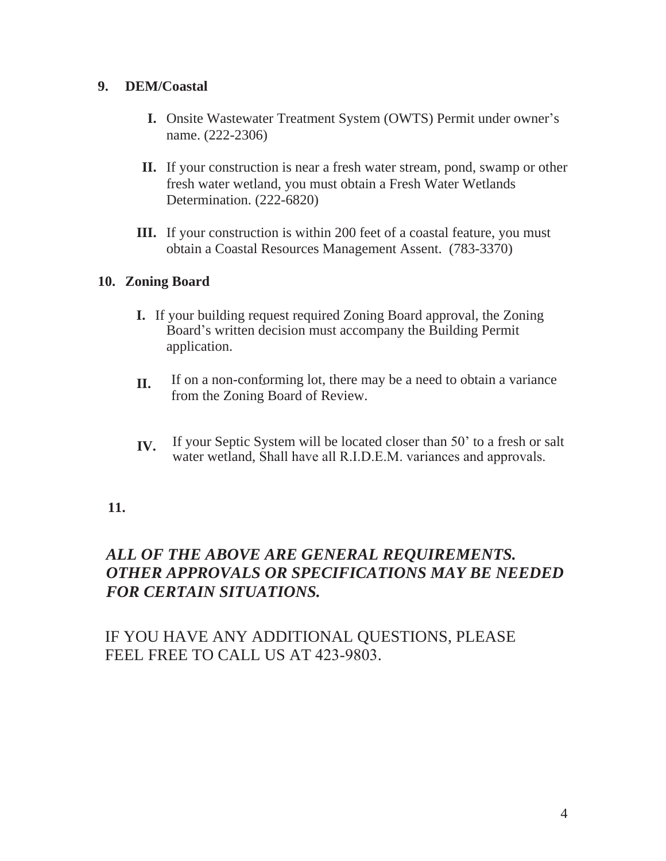## **9. DEM/Coastal**

- **I.** Onsite Wastewater Treatment System (OWTS) Permit under owner's name. (222-2306)
- **II.** If your construction is near a fresh water stream, pond, swamp or other fresh water wetland, you must obtain a Fresh Water Wetlands Determination. (222-6820)
- **III.** If your construction is within 200 feet of a coastal feature, you must obtain a Coastal Resources Management Assent. (783-3370)

# **10. Zoning Board**

- **I.** If your building request required Zoning Board approval, the Zoning Board's written decision must accompany the Building Permit application.
- **II.** If on a non-conforming lot, there may be a need to obtain a variance from the Zoning Board of Review.
- **IV.** If your Septic System will be located closer than 50° to a fresh or salt water wetland, Shall have all R.I.D.E.M. variances and approvals.

# **11.**

# *ALL OF THE ABOVE ARE GENERAL REQUIREMENTS. OTHER APPROVALS OR SPECIFICATIONS MAY BE NEEDED FOR CERTAIN SITUATIONS.*

IF YOU HAVE ANY ADDITIONAL QUESTIONS, PLEASE FEEL FREE TO CALL US AT 423-9803.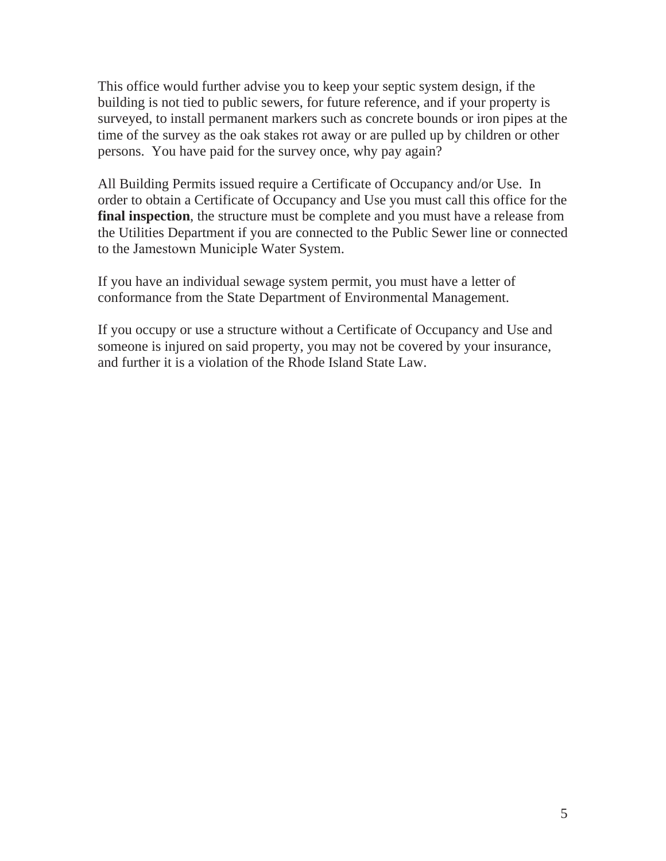This office would further advise you to keep your septic system design, if the building is not tied to public sewers, for future reference, and if your property is surveyed, to install permanent markers such as concrete bounds or iron pipes at the time of the survey as the oak stakes rot away or are pulled up by children or other persons. You have paid for the survey once, why pay again?

All Building Permits issued require a Certificate of Occupancy and/or Use. In order to obtain a Certificate of Occupancy and Use you must call this office for the **final inspection**, the structure must be complete and you must have a release from the Utilities Department if you are connected to the Public Sewer line or connected to the Jamestown Municiple Water System.

If you have an individual sewage system permit, you must have a letter of conformance from the State Department of Environmental Management.

If you occupy or use a structure without a Certificate of Occupancy and Use and someone is injured on said property, you may not be covered by your insurance, and further it is a violation of the Rhode Island State Law.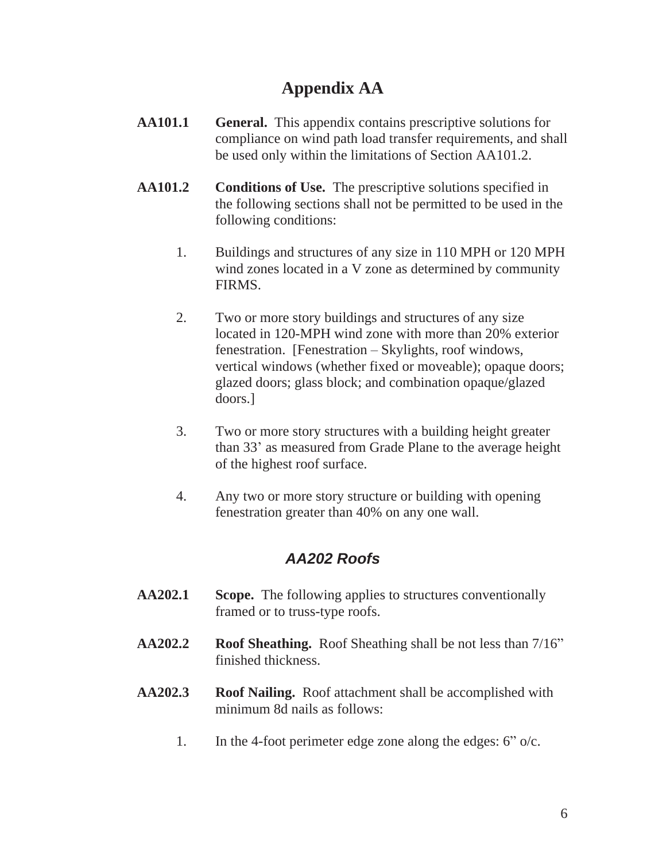# **Appendix AA**

- **AA101.1 General.** This appendix contains prescriptive solutions for compliance on wind path load transfer requirements, and shall be used only within the limitations of Section AA101.2.
- **AA101.2 Conditions of Use.** The prescriptive solutions specified in the following sections shall not be permitted to be used in the following conditions:
	- 1. Buildings and structures of any size in 110 MPH or 120 MPH wind zones located in a V zone as determined by community FIRMS.
	- 2. Two or more story buildings and structures of any size located in 120-MPH wind zone with more than 20% exterior fenestration. [Fenestration – Skylights, roof windows, vertical windows (whether fixed or moveable); opaque doors; glazed doors; glass block; and combination opaque/glazed doors.]
	- 3. Two or more story structures with a building height greater than 33' as measured from Grade Plane to the average height of the highest roof surface.
	- 4. Any two or more story structure or building with opening fenestration greater than 40% on any one wall.

# *AA202 Roofs*

- **AA202.1 Scope.** The following applies to structures conventionally framed or to truss-type roofs.
- **AA202.2 Roof Sheathing.** Roof Sheathing shall be not less than 7/16´ finished thickness.
- **AA202.3 Roof Nailing.** Roof attachment shall be accomplished with minimum 8d nails as follows:
	- 1. In the 4-foot perimeter edge zone along the edges:  $6°$  o/c.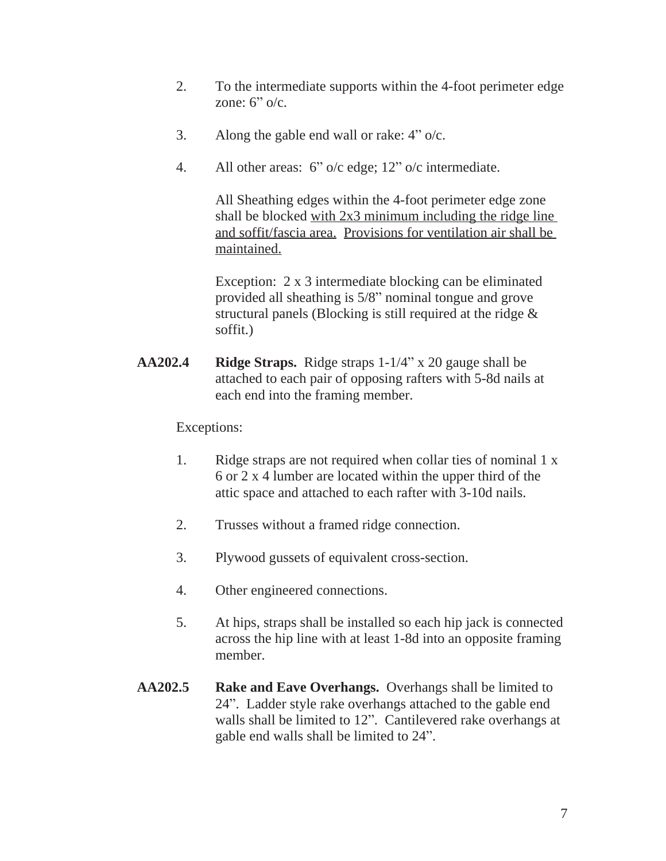- 2. To the intermediate supports within the 4-foot perimeter edge zone:  $6'$  o/c.
- 3. Along the gable end wall or rake:  $4"$  o/c.
- 4. All other areas:  $6°$  o/c edge;  $12°$  o/c intermediate.

All Sheathing edges within the 4-foot perimeter edge zone shall be blocked with  $2x3$  minimum including the ridge line and soffit/fascia area. Provisions for ventilation air shall be maintained.

Exception: 2 x 3 intermediate blocking can be eliminated provided all sheathing is 5/8" nominal tongue and grove structural panels (Blocking is still required at the ridge & soffit.)

**AA202.4 Ridge Straps.** Ridge straps 1-1/4´ x 20 gauge shall be attached to each pair of opposing rafters with 5-8d nails at each end into the framing member.

Exceptions:

- 1. Ridge straps are not required when collar ties of nominal 1 x 6 or 2 x 4 lumber are located within the upper third of the attic space and attached to each rafter with 3-10d nails.
- 2. Trusses without a framed ridge connection.
- 3. Plywood gussets of equivalent cross-section.
- 4. Other engineered connections.
- 5. At hips, straps shall be installed so each hip jack is connected across the hip line with at least 1-8d into an opposite framing member.
- **AA202.5 Rake and Eave Overhangs.** Overhangs shall be limited to 24´. Ladder style rake overhangs attached to the gable end walls shall be limited to 12". Cantilevered rake overhangs at gable end walls shall be limited to 24´.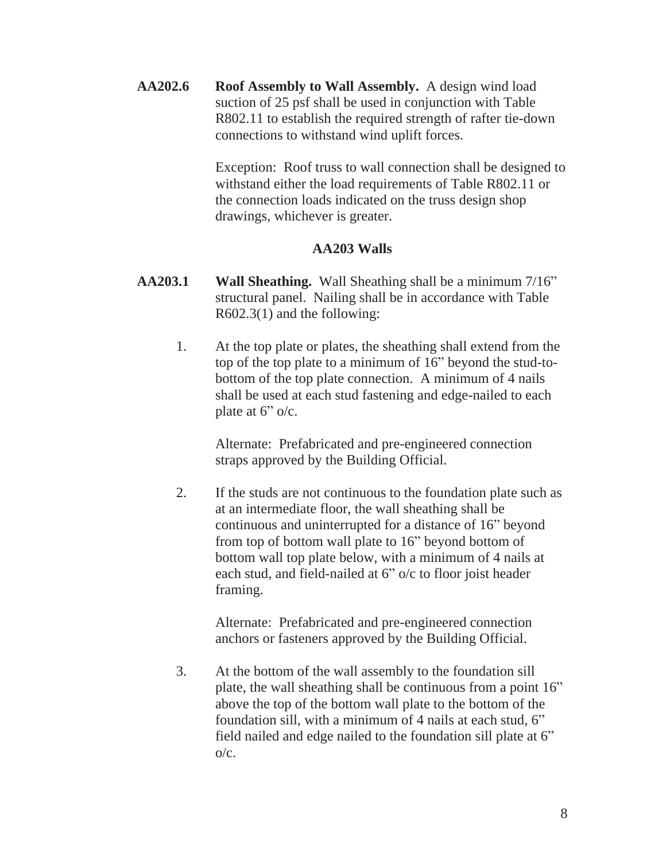**AA202.6 Roof Assembly to Wall Assembly.** A design wind load suction of 25 psf shall be used in conjunction with Table R802.11 to establish the required strength of rafter tie-down connections to withstand wind uplift forces.

> Exception: Roof truss to wall connection shall be designed to withstand either the load requirements of Table R802.11 or the connection loads indicated on the truss design shop drawings, whichever is greater.

## **AA203 Walls**

- **AA203.1 Wall Sheathing.** Wall Sheathing shall be a minimum 7/16´ structural panel. Nailing shall be in accordance with Table R602.3(1) and the following:
	- 1. At the top plate or plates, the sheathing shall extend from the top of the top plate to a minimum of 16´ beyond the stud-tobottom of the top plate connection. A minimum of 4 nails shall be used at each stud fastening and edge-nailed to each plate at  $6"$  o/c.

Alternate: Prefabricated and pre-engineered connection straps approved by the Building Official.

2. If the studs are not continuous to the foundation plate such as at an intermediate floor, the wall sheathing shall be continuous and uninterrupted for a distance of 16" beyond from top of bottom wall plate to 16<sup>"</sup> beyond bottom of bottom wall top plate below, with a minimum of 4 nails at each stud, and field-nailed at  $6"$  o/c to floor joist header framing.

> Alternate: Prefabricated and pre-engineered connection anchors or fasteners approved by the Building Official.

3. At the bottom of the wall assembly to the foundation sill plate, the wall sheathing shall be continuous from a point 16´ above the top of the bottom wall plate to the bottom of the foundation sill, with a minimum of 4 nails at each stud, 6´ field nailed and edge nailed to the foundation sill plate at 6´  $O/C$ .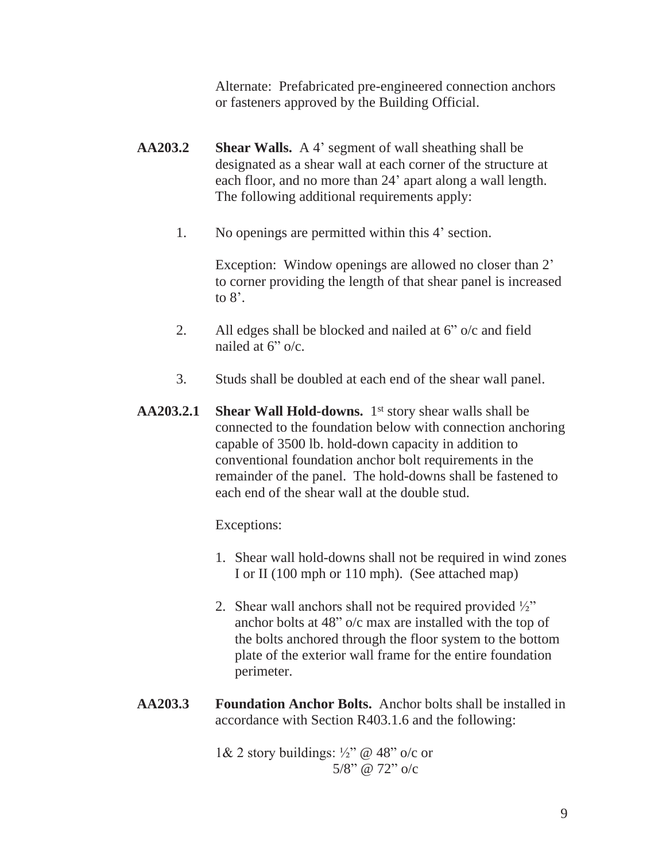Alternate: Prefabricated pre-engineered connection anchors or fasteners approved by the Building Official.

- **AA203.2 Shear Walls.** A 4' segment of wall sheathing shall be designated as a shear wall at each corner of the structure at each floor, and no more than 24' apart along a wall length. The following additional requirements apply:
	- 1. No openings are permitted within this 4' section.

Exception: Window openings are allowed no closer than 2<sup>°</sup> to corner providing the length of that shear panel is increased to  $8^\circ$ .

- 2. All edges shall be blocked and nailed at  $6"$  o/c and field nailed at  $6'$  o/c.
- 3. Studs shall be doubled at each end of the shear wall panel.
- AA203.2.1 Shear Wall Hold-downs. 1<sup>st</sup> story shear walls shall be connected to the foundation below with connection anchoring capable of 3500 lb. hold-down capacity in addition to conventional foundation anchor bolt requirements in the remainder of the panel. The hold-downs shall be fastened to each end of the shear wall at the double stud.

Exceptions:

- 1. Shear wall hold-downs shall not be required in wind zones I or II (100 mph or 110 mph). (See attached map)
- 2. Shear wall anchors shall not be required provided  $\frac{1}{2}$ " anchor bolts at  $48$ " o/c max are installed with the top of the bolts anchored through the floor system to the bottom plate of the exterior wall frame for the entire foundation perimeter.
- **AA203.3 Foundation Anchor Bolts.** Anchor bolts shall be installed in accordance with Section R403.1.6 and the following:

1& 2 story buildings:  $\frac{1}{2}$ <sup>"</sup> @ 48<sup>"</sup> o/c or 5/8" @ 72"  $o/c$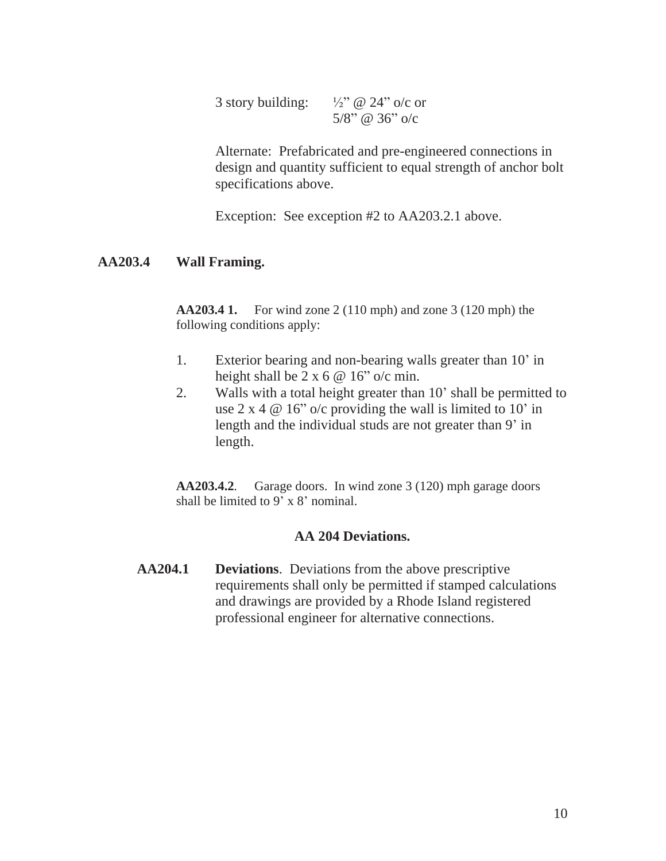| 3 story building: | $\frac{1}{2}$ @ 24" o/c or |  |  |
|-------------------|----------------------------|--|--|
|                   | $5/8$ " @ 36" o/c          |  |  |

Alternate: Prefabricated and pre-engineered connections in design and quantity sufficient to equal strength of anchor bolt specifications above.

Exception: See exception #2 to AA203.2.1 above.

### **AA203.4 Wall Framing.**

**AA203.4 1.** For wind zone 2 (110 mph) and zone 3 (120 mph) the following conditions apply:

- 1. Exterior bearing and non-bearing walls greater than 10' in height shall be  $2 \times 6$  @ 16<sup>o</sup> o/c min.
- 2. Walls with a total height greater than  $10^{\circ}$  shall be permitted to use  $2 \times 4 \cdot (2 \times 16^{\circ} \text{ o/c}$  providing the wall is limited to 10<sup> $\degree$ </sup> in length and the individual studs are not greater than 9<sup>'</sup> in length.

**AA203.4.2***.* Garage doors. In wind zone 3 (120) mph garage doors shall be limited to  $9' \times 8'$  nominal.

### **AA 204 Deviations.**

**AA204.1 Deviations**. Deviations from the above prescriptive requirements shall only be permitted if stamped calculations and drawings are provided by a Rhode Island registered professional engineer for alternative connections.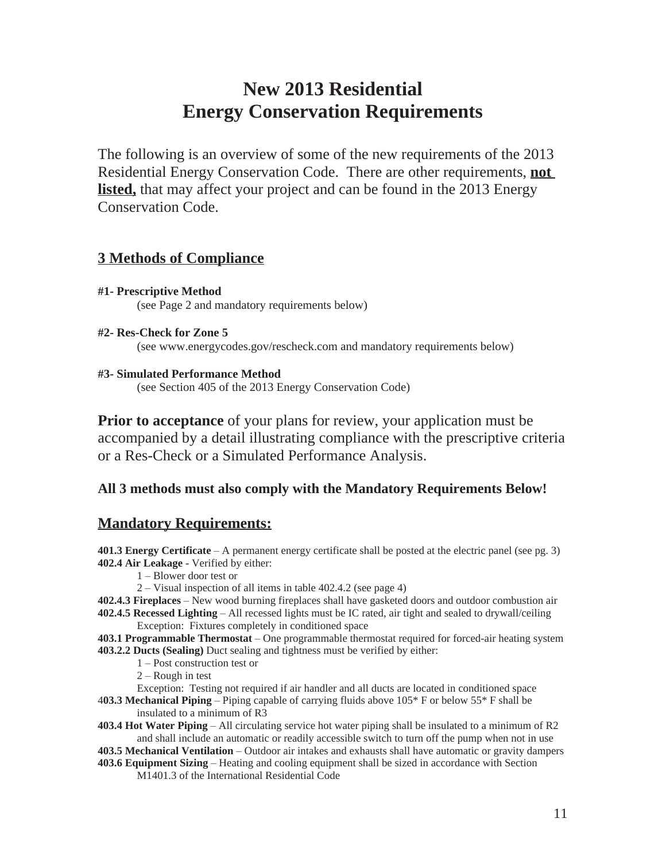# **New 2013 Residential Energy Conservation Requirements**

The following is an overview of some of the new requirements of the 2013 Residential Energy Conservation Code. There are other requirements, **not listed,** that may affect your project and can be found in the 2013 Energy Conservation Code.

# **3 Methods of Compliance**

- **#1- Prescriptive Method** (see Page 2 and mandatory requirements below)
- **#2- Res-Check for Zone 5** (see www.energycodes.gov/rescheck.com and mandatory requirements below)
- **#3- Simulated Performance Method** (see Section 405 of the 2013 Energy Conservation Code)

**Prior to acceptance** of your plans for review, your application must be accompanied by a detail illustrating compliance with the prescriptive criteria or a Res-Check or a Simulated Performance Analysis.

## **All 3 methods must also comply with the Mandatory Requirements Below!**

# **Mandatory Requirements:**

**401.3 Energy Certificate** – A permanent energy certificate shall be posted at the electric panel (see pg. 3) **402.4 Air Leakage -** Verified by either:

- 1 Blower door test or
- $2 Visual inspection$  of all items in table 402.4.2 (see page 4)
- **402.4.3 Fireplaces** New wood burning fireplaces shall have gasketed doors and outdoor combustion air **402.4.5 Recessed Lighting** – All recessed lights must be IC rated, air tight and sealed to drywall/ceiling
	- Exception: Fixtures completely in conditioned space

**403.1 Programmable Thermostat** – One programmable thermostat required for forced-air heating system **403.2.2 Ducts (Sealing)** Duct sealing and tightness must be verified by either:

- $1 -$ Post construction test or
- $2 -$ Rough in test

Exception: Testing not required if air handler and all ducts are located in conditioned space

403.3 Mechanical Piping – Piping capable of carrying fluids above 105<sup>\*</sup> F or below 55<sup>\*</sup> F shall be insulated to a minimum of R3

**403.4 Hot Water Piping** – All circulating service hot water piping shall be insulated to a minimum of R2 and shall include an automatic or readily accessible switch to turn off the pump when not in use

**403.5 Mechanical Ventilation** – Outdoor air intakes and exhausts shall have automatic or gravity dampers

**403.6 Equipment Sizing** – Heating and cooling equipment shall be sized in accordance with Section M1401.3 of the International Residential Code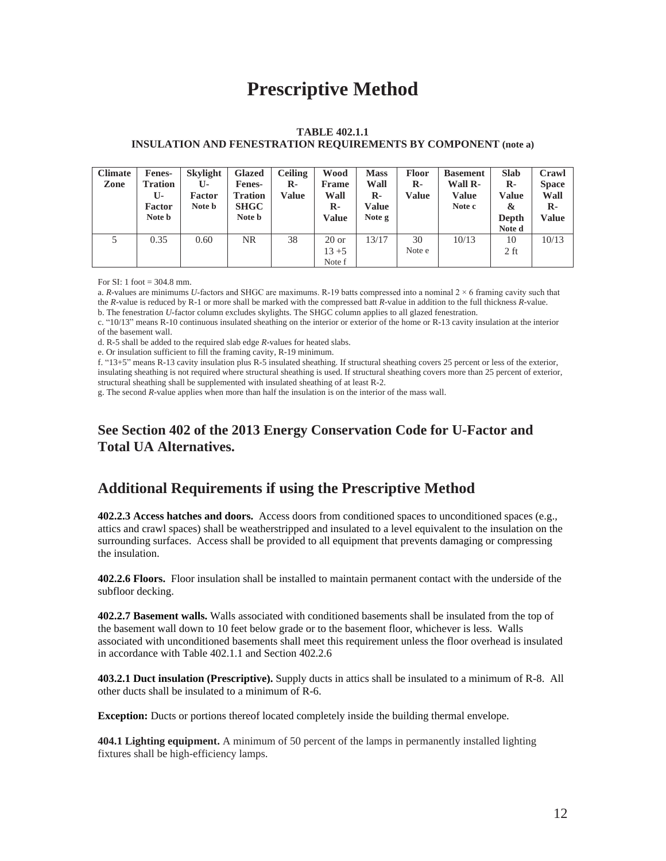# **Prescriptive Method**

#### **TABLE 402.1.1 INSULATION AND FENESTRATION REQUIREMENTS BY COMPONENT (note a)**

| <b>Climate</b><br>Zone | <b>Fenes-</b><br><b>Tration</b><br>U-<br>Factor<br>Note <b>b</b> | <b>Skylight</b><br>U-<br>Factor<br>Note <b>b</b> | <b>Glazed</b><br><b>Fenes-</b><br><b>Tration</b><br><b>SHGC</b><br>Note b | <b>Ceiling</b><br>$\mathbf{R}$<br>Value | <b>Wood</b><br><b>Frame</b><br>Wall<br>R-<br><b>Value</b> | <b>Mass</b><br>Wall<br>$\mathbf{R}$<br>Value<br>Note g | <b>Floor</b><br>R-<br>Value | <b>Basement</b><br>Wall R-<br>Value<br>Note c | <b>Slab</b><br>$\mathbf{R}$<br>Value<br>&<br>Depth<br>Note d | Crawl<br><b>Space</b><br>Wall<br>$\mathbf{R}$ -<br>Value |
|------------------------|------------------------------------------------------------------|--------------------------------------------------|---------------------------------------------------------------------------|-----------------------------------------|-----------------------------------------------------------|--------------------------------------------------------|-----------------------------|-----------------------------------------------|--------------------------------------------------------------|----------------------------------------------------------|
|                        | 0.35                                                             | 0.60                                             | <b>NR</b>                                                                 | 38                                      | $20$ or<br>$13 + 5$<br>Note f                             | 13/17                                                  | 30<br>Note e                | 10/13                                         | 10<br>$2$ ft                                                 | 10/13                                                    |

For  $SI: 1$  foot = 304.8 mm.

a. *R*-values are minimums *U*-factors and SHGC are maximums. R-19 batts compressed into a nominal  $2 \times 6$  framing cavity such that the *R*-value is reduced by R-1 or more shall be marked with the compressed batt *R*-value in addition to the full thickness *R*-value. b. The fenestration *U*-factor column excludes skylights. The SHGC column applies to all glazed fenestration.

c. ³10/13´ means R-10 continuous insulated sheathing on the interior or exterior of the home or R-13 cavity insulation at the interior

of the basement wall.

d. R-5 shall be added to the required slab edge *R*-values for heated slabs.

e. Or insulation sufficient to fill the framing cavity, R-19 minimum.

f. ³13+5´ means R-13 cavity insulation plus R-5 insulated sheathing. If structural sheathing covers 25 percent or less of the exterior, insulating sheathing is not required where structural sheathing is used. If structural sheathing covers more than 25 percent of exterior, structural sheathing shall be supplemented with insulated sheathing of at least R-2.

g. The second *R*-value applies when more than half the insulation is on the interior of the mass wall.

## **See Section 402 of the 2013 Energy Conservation Code for U-Factor and Total UA Alternatives.**

## **Additional Requirements if using the Prescriptive Method**

**402.2.3 Access hatches and doors.** Access doors from conditioned spaces to unconditioned spaces (e.g., attics and crawl spaces) shall be weatherstripped and insulated to a level equivalent to the insulation on the surrounding surfaces. Access shall be provided to all equipment that prevents damaging or compressing the insulation.

**402.2.6 Floors.** Floor insulation shall be installed to maintain permanent contact with the underside of the subfloor decking.

**402.2.7 Basement walls.** Walls associated with conditioned basements shall be insulated from the top of the basement wall down to 10 feet below grade or to the basement floor, whichever is less. Walls associated with unconditioned basements shall meet this requirement unless the floor overhead is insulated in accordance with Table 402.1.1 and Section 402.2.6

**403.2.1 Duct insulation (Prescriptive).** Supply ducts in attics shall be insulated to a minimum of R-8. All other ducts shall be insulated to a minimum of R-6.

**Exception:** Ducts or portions thereof located completely inside the building thermal envelope.

**404.1 Lighting equipment.** A minimum of 50 percent of the lamps in permanently installed lighting fixtures shall be high-efficiency lamps.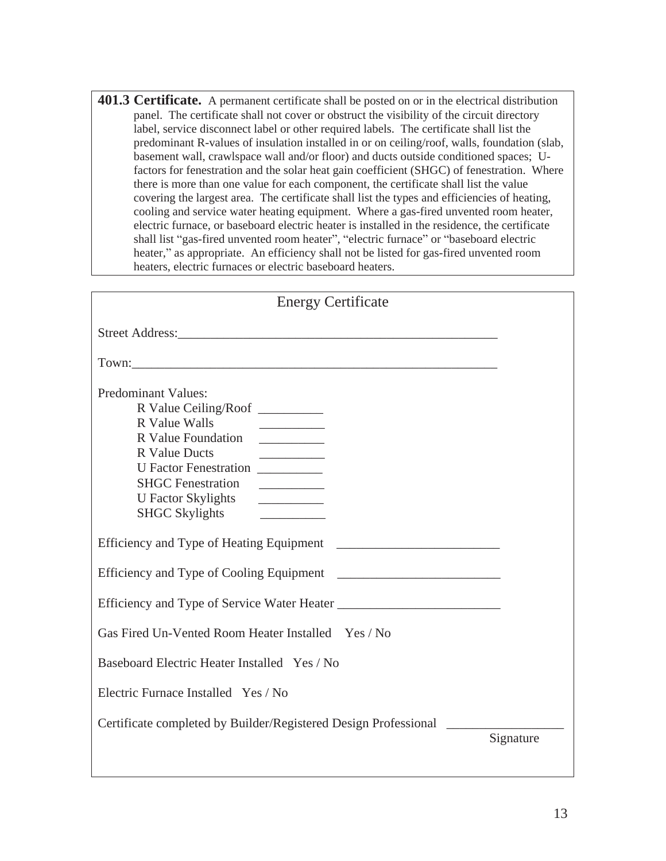**401.3 Certificate.** A permanent certificate shall be posted on or in the electrical distribution panel. The certificate shall not cover or obstruct the visibility of the circuit directory label, service disconnect label or other required labels. The certificate shall list the predominant R-values of insulation installed in or on ceiling/roof, walls, foundation (slab, basement wall, crawlspace wall and/or floor) and ducts outside conditioned spaces; Ufactors for fenestration and the solar heat gain coefficient (SHGC) of fenestration. Where there is more than one value for each component, the certificate shall list the value covering the largest area. The certificate shall list the types and efficiencies of heating, cooling and service water heating equipment. Where a gas-fired unvented room heater, electric furnace, or baseboard electric heater is installed in the residence, the certificate shall list "gas-fired unvented room heater", "electric furnace" or "baseboard electric heater," as appropriate. An efficiency shall not be listed for gas-fired unvented room heaters, electric furnaces or electric baseboard heaters.

| <b>Energy Certificate</b>                                                                                                                                                                                                                                                                                                                                                                                                              |           |
|----------------------------------------------------------------------------------------------------------------------------------------------------------------------------------------------------------------------------------------------------------------------------------------------------------------------------------------------------------------------------------------------------------------------------------------|-----------|
|                                                                                                                                                                                                                                                                                                                                                                                                                                        |           |
|                                                                                                                                                                                                                                                                                                                                                                                                                                        |           |
| Predominant Values:<br>R Value Ceiling/Roof _________<br>R Value Walls<br><u> 1990 - John Barn Barn, amerikan ba</u><br>R Value Foundation<br><b>R</b> Value Ducts<br>$\overline{\phantom{a}}$ . The contract of $\overline{\phantom{a}}$<br>U Factor Fenestration __________<br><b>SHGC</b> Fenestration<br><b>U</b> Factor Skylights<br>$\overline{\phantom{a}}$ . The contract of $\overline{\phantom{a}}$<br><b>SHGC Skylights</b> |           |
| Efficiency and Type of Heating Equipment                                                                                                                                                                                                                                                                                                                                                                                               |           |
|                                                                                                                                                                                                                                                                                                                                                                                                                                        |           |
|                                                                                                                                                                                                                                                                                                                                                                                                                                        |           |
| Gas Fired Un-Vented Room Heater Installed Yes / No                                                                                                                                                                                                                                                                                                                                                                                     |           |
| Baseboard Electric Heater Installed Yes / No                                                                                                                                                                                                                                                                                                                                                                                           |           |
| Electric Furnace Installed Yes / No                                                                                                                                                                                                                                                                                                                                                                                                    |           |
| Certificate completed by Builder/Registered Design Professional                                                                                                                                                                                                                                                                                                                                                                        | Signature |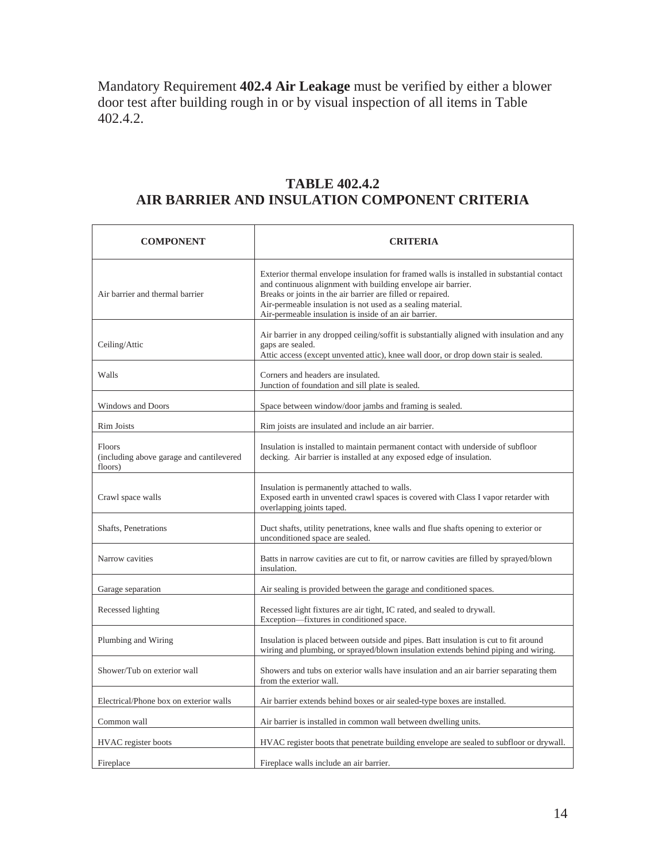Mandatory Requirement **402.4 Air Leakage** must be verified by either a blower door test after building rough in or by visual inspection of all items in Table 402.4.2.

# **TABLE 402.4.2 AIR BARRIER AND INSULATION COMPONENT CRITERIA**

| <b>COMPONENT</b>                                              | <b>CRITERIA</b>                                                                                                                                                                                                                                                                                                                                  |
|---------------------------------------------------------------|--------------------------------------------------------------------------------------------------------------------------------------------------------------------------------------------------------------------------------------------------------------------------------------------------------------------------------------------------|
| Air barrier and thermal barrier                               | Exterior thermal envelope insulation for framed walls is installed in substantial contact<br>and continuous alignment with building envelope air barrier.<br>Breaks or joints in the air barrier are filled or repaired.<br>Air-permeable insulation is not used as a sealing material.<br>Air-permeable insulation is inside of an air barrier. |
| Ceiling/Attic                                                 | Air barrier in any dropped ceiling/soffit is substantially aligned with insulation and any<br>gaps are sealed.<br>Attic access (except unvented attic), knee wall door, or drop down stair is sealed.                                                                                                                                            |
| Walls                                                         | Corners and headers are insulated.<br>Junction of foundation and sill plate is sealed.                                                                                                                                                                                                                                                           |
| Windows and Doors                                             | Space between window/door jambs and framing is sealed.                                                                                                                                                                                                                                                                                           |
| <b>Rim Joists</b>                                             | Rim joists are insulated and include an air barrier.                                                                                                                                                                                                                                                                                             |
| Floors<br>(including above garage and cantilevered<br>floors) | Insulation is installed to maintain permanent contact with underside of subfloor<br>decking. Air barrier is installed at any exposed edge of insulation.                                                                                                                                                                                         |
| Crawl space walls                                             | Insulation is permanently attached to walls.<br>Exposed earth in unvented crawl spaces is covered with Class I vapor retarder with<br>overlapping joints taped.                                                                                                                                                                                  |
| Shafts, Penetrations                                          | Duct shafts, utility penetrations, knee walls and flue shafts opening to exterior or<br>unconditioned space are sealed.                                                                                                                                                                                                                          |
| Narrow cavities                                               | Batts in narrow cavities are cut to fit, or narrow cavities are filled by sprayed/blown<br>insulation.                                                                                                                                                                                                                                           |
| Garage separation                                             | Air sealing is provided between the garage and conditioned spaces.                                                                                                                                                                                                                                                                               |
| Recessed lighting                                             | Recessed light fixtures are air tight, IC rated, and sealed to drywall.<br>Exception—fixtures in conditioned space.                                                                                                                                                                                                                              |
| Plumbing and Wiring                                           | Insulation is placed between outside and pipes. Batt insulation is cut to fit around<br>wiring and plumbing, or sprayed/blown insulation extends behind piping and wiring.                                                                                                                                                                       |
| Shower/Tub on exterior wall                                   | Showers and tubs on exterior walls have insulation and an air barrier separating them<br>from the exterior wall.                                                                                                                                                                                                                                 |
| Electrical/Phone box on exterior walls                        | Air barrier extends behind boxes or air sealed-type boxes are installed.                                                                                                                                                                                                                                                                         |
| Common wall                                                   | Air barrier is installed in common wall between dwelling units.                                                                                                                                                                                                                                                                                  |
| HVAC register boots                                           | HVAC register boots that penetrate building envelope are sealed to subfloor or drywall.                                                                                                                                                                                                                                                          |
| Fireplace                                                     | Fireplace walls include an air barrier.                                                                                                                                                                                                                                                                                                          |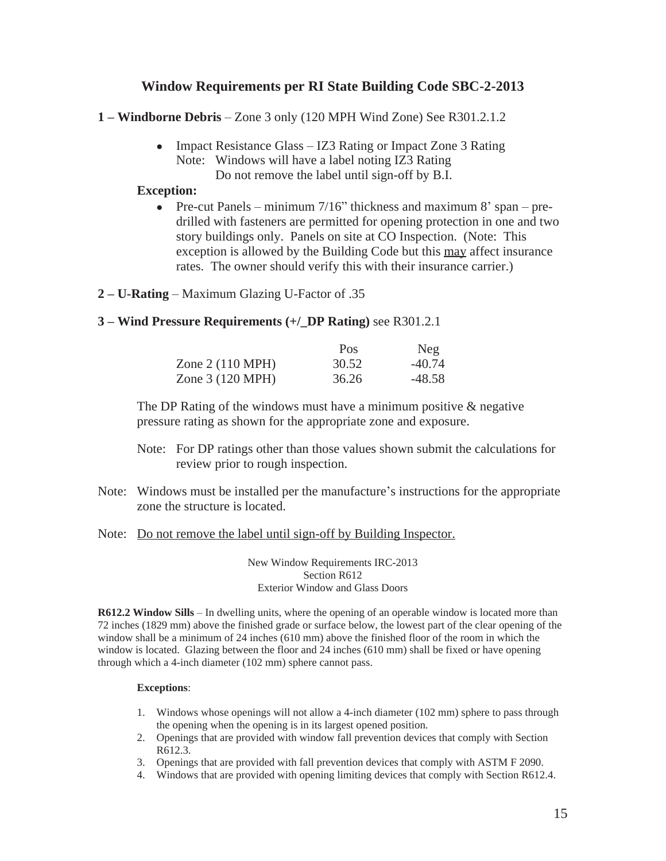### **Window Requirements per RI State Building Code SBC-2-2013**

- **1 ± Windborne Debris** ± Zone 3 only (120 MPH Wind Zone) See R301.2.1.2
	- Impact Resistance Glass  $-$  IZ3 Rating or Impact Zone 3 Rating Note: Windows will have a label noting IZ3 Rating Do not remove the label until sign-off by B.I.

### **Exception:**

- Pre-cut Panels minimum  $7/16$ <sup>"</sup> thickness and maximum  $8$ <sup>"</sup> span predrilled with fasteners are permitted for opening protection in one and two story buildings only. Panels on site at CO Inspection. (Note: This exception is allowed by the Building Code but this may affect insurance rates. The owner should verify this with their insurance carrier.)
- **2 ± U-Rating** ± Maximum Glazing U-Factor of .35

### **3 ± Wind Pressure Requirements (+/\_DP Rating)** see R301.2.1

|                           | Pos   | Neg      |
|---------------------------|-------|----------|
| Zone $2(110 \text{ MPH})$ | 30.52 | $-40.74$ |
| Zone $3(120 \text{ MPH})$ | 36.26 | $-48.58$ |

The DP Rating of the windows must have a minimum positive  $\&$  negative pressure rating as shown for the appropriate zone and exposure.

- Note: For DP ratings other than those values shown submit the calculations for review prior to rough inspection.
- Note: Windows must be installed per the manufacture's instructions for the appropriate zone the structure is located.
- Note: Do not remove the label until sign-off by Building Inspector.

New Window Requirements IRC-2013 Section R612 Exterior Window and Glass Doors

**R612.2 Window Sills** – In dwelling units, where the opening of an operable window is located more than 72 inches (1829 mm) above the finished grade or surface below, the lowest part of the clear opening of the window shall be a minimum of 24 inches (610 mm) above the finished floor of the room in which the window is located. Glazing between the floor and 24 inches (610 mm) shall be fixed or have opening through which a 4-inch diameter (102 mm) sphere cannot pass.

#### **Exceptions**:

- 1. Windows whose openings will not allow a 4-inch diameter (102 mm) sphere to pass through the opening when the opening is in its largest opened position.
- 2. Openings that are provided with window fall prevention devices that comply with Section R612.3.
- 3. Openings that are provided with fall prevention devices that comply with ASTM F 2090.
- 4. Windows that are provided with opening limiting devices that comply with Section R612.4.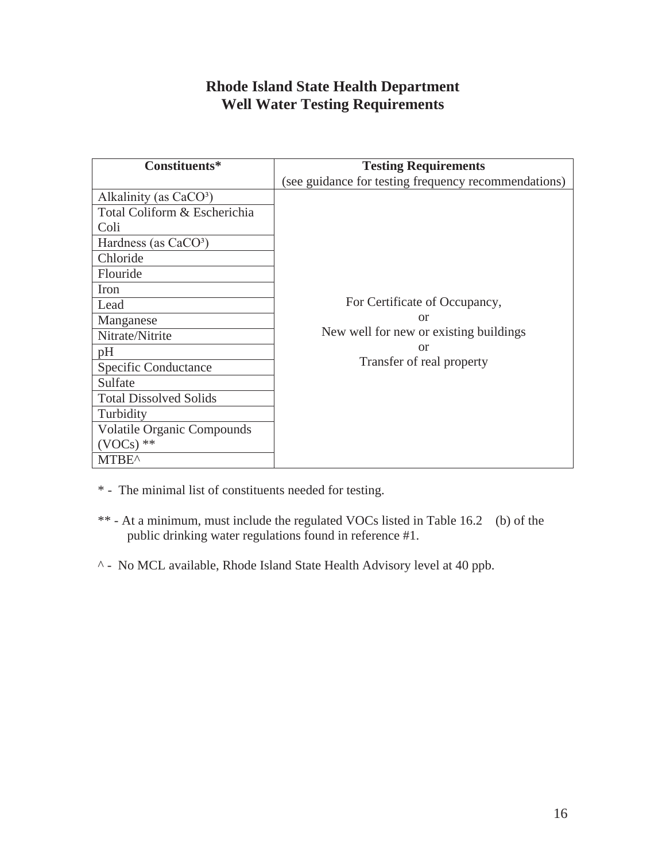# **Rhode Island State Health Department Well Water Testing Requirements**

| Constituents*                     | <b>Testing Requirements</b>                          |
|-----------------------------------|------------------------------------------------------|
|                                   | (see guidance for testing frequency recommendations) |
| Alkalinity (as $CaCO3$ )          |                                                      |
| Total Coliform & Escherichia      |                                                      |
| Coli                              |                                                      |
| Hardness (as $CaCO3$ )            |                                                      |
| Chloride                          |                                                      |
| Flouride                          |                                                      |
| Iron                              |                                                      |
| Lead                              | For Certificate of Occupancy,                        |
| Manganese                         | $\alpha$                                             |
| Nitrate/Nitrite                   | New well for new or existing buildings               |
| pH                                | or                                                   |
| Specific Conductance              | Transfer of real property                            |
| Sulfate                           |                                                      |
| <b>Total Dissolved Solids</b>     |                                                      |
| Turbidity                         |                                                      |
| <b>Volatile Organic Compounds</b> |                                                      |
| $VOCs$ ) **                       |                                                      |
| MTBE <sup>^</sup>                 |                                                      |

- \* The minimal list of constituents needed for testing.
- \*\* At a minimum, must include the regulated VOCs listed in Table 16.2 (b) of the public drinking water regulations found in reference #1.
- ^ No MCL available, Rhode Island State Health Advisory level at 40 ppb.